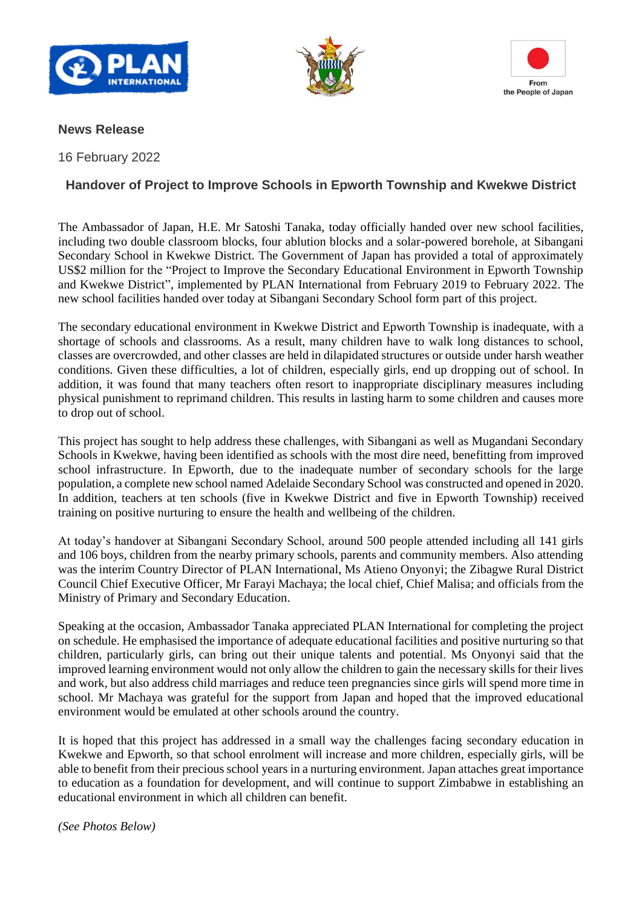





## **News Release**

16 February 2022

## **Handover of Project to Improve Schools in Epworth Township and Kwekwe District**

The Ambassador of Japan, H.E. Mr Satoshi Tanaka, today officially handed over new school facilities, including two double classroom blocks, four ablution blocks and a solar-powered borehole, at Sibangani Secondary School in Kwekwe District. The Government of Japan has provided a total of approximately US\$2 million for the "Project to Improve the Secondary Educational Environment in Epworth Township and Kwekwe District", implemented by PLAN International from February 2019 to February 2022. The new school facilities handed over today at Sibangani Secondary School form part of this project.

The secondary educational environment in Kwekwe District and Epworth Township is inadequate, with a shortage of schools and classrooms. As a result, many children have to walk long distances to school, classes are overcrowded, and other classes are held in dilapidated structures or outside under harsh weather conditions. Given these difficulties, a lot of children, especially girls, end up dropping out of school. In addition, it was found that many teachers often resort to inappropriate disciplinary measures including physical punishment to reprimand children. This results in lasting harm to some children and causes more to drop out of school.

This project has sought to help address these challenges, with Sibangani as well as Mugandani Secondary Schools in Kwekwe, having been identified as schools with the most dire need, benefitting from improved school infrastructure. In Epworth, due to the inadequate number of secondary schools for the large population, a complete new school named Adelaide Secondary School was constructed and opened in 2020. In addition, teachers at ten schools (five in Kwekwe District and five in Epworth Township) received training on positive nurturing to ensure the health and wellbeing of the children.

At today's handover at Sibangani Secondary School, around 500 people attended including all 141 girls and 106 boys, children from the nearby primary schools, parents and community members. Also attending was the interim Country Director of PLAN International, Ms Atieno Onyonyi; the Zibagwe Rural District Council Chief Executive Officer, Mr Farayi Machaya; the local chief, Chief Malisa; and officials from the Ministry of Primary and Secondary Education.

Speaking at the occasion, Ambassador Tanaka appreciated PLAN International for completing the project on schedule. He emphasised the importance of adequate educational facilities and positive nurturing so that children, particularly girls, can bring out their unique talents and potential. Ms Onyonyi said that the improved learning environment would not only allow the children to gain the necessary skills for their lives and work, but also address child marriages and reduce teen pregnancies since girls will spend more time in school. Mr Machaya was grateful for the support from Japan and hoped that the improved educational environment would be emulated at other schools around the country.

It is hoped that this project has addressed in a small way the challenges facing secondary education in Kwekwe and Epworth, so that school enrolment will increase and more children, especially girls, will be able to benefit from their precious school years in a nurturing environment. Japan attaches great importance to education as a foundation for development, and will continue to support Zimbabwe in establishing an educational environment in which all children can benefit.

*(See Photos Below)*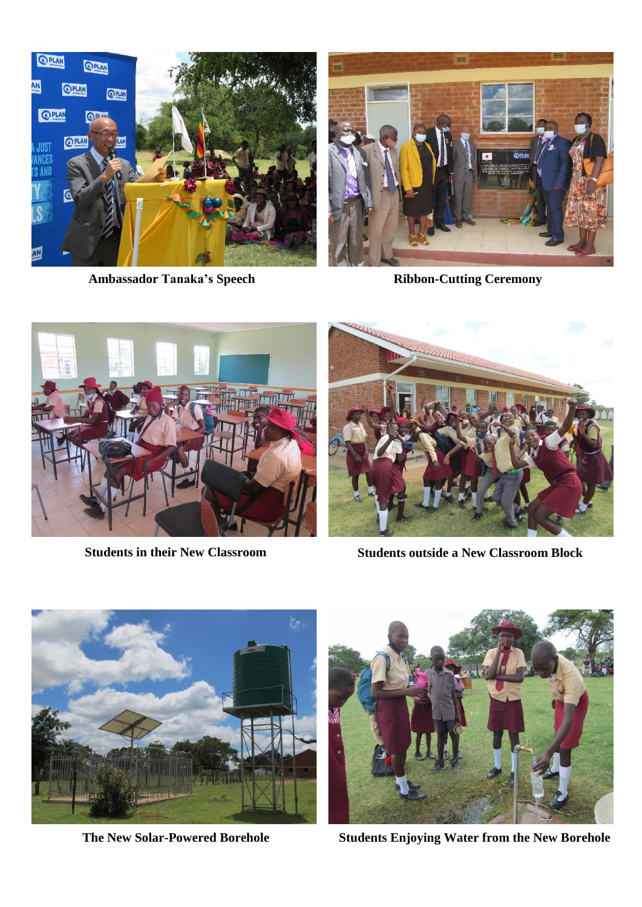

Ambassador Tanaka's Speech **Ribbon-Cutting Ceremony** 





**Students in their New Classroom Students outside a New Classroom Block**





**The New Solar-Powered Borehole Students Enjoying Water from the New Borehole**